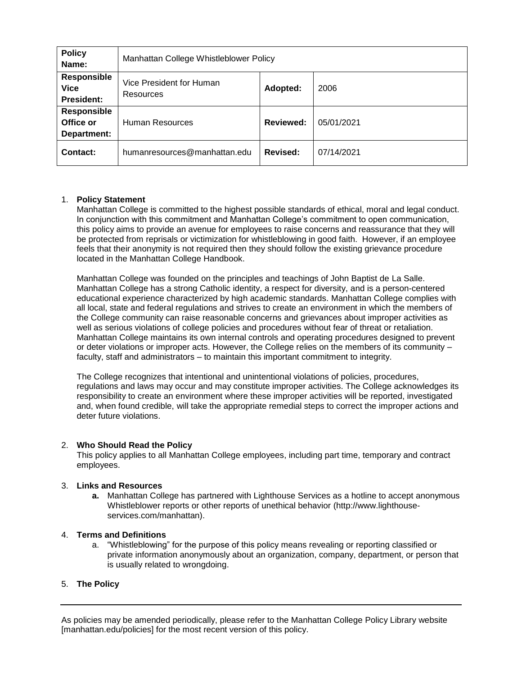| <b>Policy</b><br>Name:                                 | Manhattan College Whistleblower Policy |                  |            |
|--------------------------------------------------------|----------------------------------------|------------------|------------|
| <b>Responsible</b><br><b>Vice</b><br><b>President:</b> | Vice President for Human<br>Resources  | Adopted:         | 2006       |
| <b>Responsible</b><br>Office or<br>Department:         | Human Resources                        | <b>Reviewed:</b> | 05/01/2021 |
| Contact:                                               | humanresources@manhattan.edu           | Revised:         | 07/14/2021 |

## 1. **Policy Statement**

Manhattan College is committed to the highest possible standards of ethical, moral and legal conduct. In conjunction with this commitment and Manhattan College's commitment to open communication, this policy aims to provide an avenue for employees to raise concerns and reassurance that they will be protected from reprisals or victimization for whistleblowing in good faith. However, if an employee feels that their anonymity is not required then they should follow the existing grievance procedure located in the Manhattan College Handbook.

Manhattan College was founded on the principles and teachings of John Baptist de La Salle. Manhattan College has a strong Catholic identity, a respect for diversity, and is a person-centered educational experience characterized by high academic standards. Manhattan College complies with all local, state and federal regulations and strives to create an environment in which the members of the College community can raise reasonable concerns and grievances about improper activities as well as serious violations of college policies and procedures without fear of threat or retaliation. Manhattan College maintains its own internal controls and operating procedures designed to prevent or deter violations or improper acts. However, the College relies on the members of its community – faculty, staff and administrators – to maintain this important commitment to integrity.

The College recognizes that intentional and unintentional violations of policies, procedures, regulations and laws may occur and may constitute improper activities. The College acknowledges its responsibility to create an environment where these improper activities will be reported, investigated and, when found credible, will take the appropriate remedial steps to correct the improper actions and deter future violations.

## 2. **Who Should Read the Policy**

This policy applies to all Manhattan College employees, including part time, temporary and contract employees.

#### 3. **Links and Resources**

**a.** Manhattan College has partnered with Lighthouse Services as a hotline to accept anonymous Whistleblower reports or other reports of unethical behavior (http://www.lighthouseservices.com/manhattan).

#### 4. **Terms and Definitions**

a. "Whistleblowing" for the purpose of this policy means revealing or reporting classified or private information anonymously about an organization, company, department, or person that is usually related to wrongdoing.

## 5. **The Policy**

As policies may be amended periodically, please refer to the Manhattan College Policy Library website [manhattan.edu/policies] for the most recent version of this policy.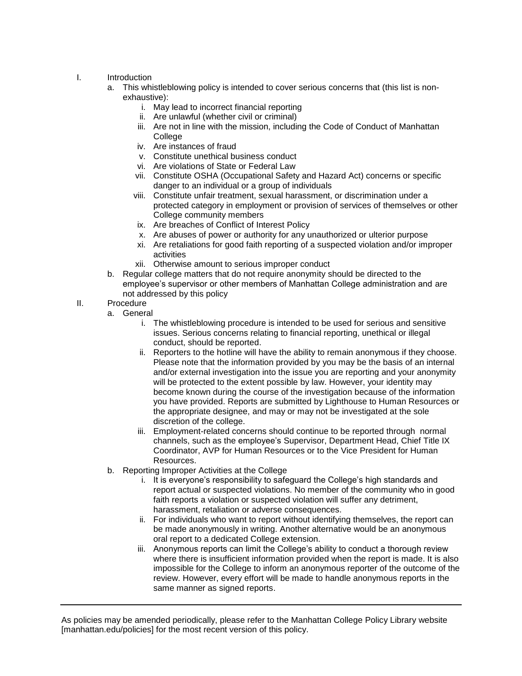# I. Introduction

- a. This whistleblowing policy is intended to cover serious concerns that (this list is nonexhaustive):
	- i. May lead to incorrect financial reporting
	- ii. Are unlawful (whether civil or criminal)
	- iii. Are not in line with the mission, including the Code of Conduct of Manhattan **College**
	- iv. Are instances of fraud
	- v. Constitute unethical business conduct
	- vi. Are violations of State or Federal Law
	- vii. Constitute OSHA (Occupational Safety and Hazard Act) concerns or specific danger to an individual or a group of individuals
	- viii. Constitute unfair treatment, sexual harassment, or discrimination under a protected category in employment or provision of services of themselves or other College community members
	- ix. Are breaches of Conflict of Interest Policy
	- x. Are abuses of power or authority for any unauthorized or ulterior purpose
	- xi. Are retaliations for good faith reporting of a suspected violation and/or improper activities
	- xii. Otherwise amount to serious improper conduct
- b. Regular college matters that do not require anonymity should be directed to the employee's supervisor or other members of Manhattan College administration and are not addressed by this policy
- II. Procedure
	- a. General
		- i. The whistleblowing procedure is intended to be used for serious and sensitive issues. Serious concerns relating to financial reporting, unethical or illegal conduct, should be reported.
		- ii. Reporters to the hotline will have the ability to remain anonymous if they choose. Please note that the information provided by you may be the basis of an internal and/or external investigation into the issue you are reporting and your anonymity will be protected to the extent possible by law. However, your identity may become known during the course of the investigation because of the information you have provided. Reports are submitted by Lighthouse to Human Resources or the appropriate designee, and may or may not be investigated at the sole discretion of the college.
		- iii. Employment-related concerns should continue to be reported through normal channels, such as the employee's Supervisor, Department Head, Chief Title IX Coordinator, AVP for Human Resources or to the Vice President for Human Resources.
	- b. Reporting Improper Activities at the College
		- i. It is everyone's responsibility to safeguard the College's high standards and report actual or suspected violations. No member of the community who in good faith reports a violation or suspected violation will suffer any detriment, harassment, retaliation or adverse consequences.
		- ii. For individuals who want to report without identifying themselves, the report can be made anonymously in writing. Another alternative would be an anonymous oral report to a dedicated College extension.
		- iii. Anonymous reports can limit the College's ability to conduct a thorough review where there is insufficient information provided when the report is made. It is also impossible for the College to inform an anonymous reporter of the outcome of the review. However, every effort will be made to handle anonymous reports in the same manner as signed reports.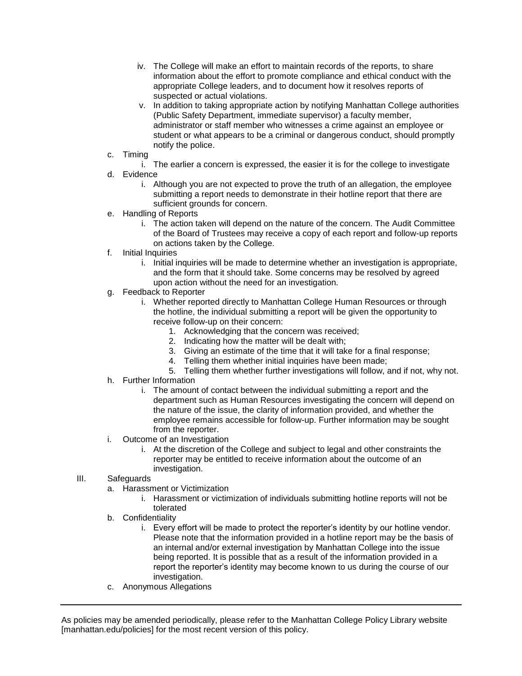- iv. The College will make an effort to maintain records of the reports, to share information about the effort to promote compliance and ethical conduct with the appropriate College leaders, and to document how it resolves reports of suspected or actual violations.
- v. In addition to taking appropriate action by notifying Manhattan College authorities (Public Safety Department, immediate supervisor) a faculty member, administrator or staff member who witnesses a crime against an employee or student or what appears to be a criminal or dangerous conduct, should promptly notify the police.
- c. Timing
	- i. The earlier a concern is expressed, the easier it is for the college to investigate
- d. Evidence
	- i. Although you are not expected to prove the truth of an allegation, the employee submitting a report needs to demonstrate in their hotline report that there are sufficient grounds for concern.
- e. Handling of Reports
	- i. The action taken will depend on the nature of the concern. The Audit Committee of the Board of Trustees may receive a copy of each report and follow-up reports on actions taken by the College.
- f. Initial Inquiries
	- i. Initial inquiries will be made to determine whether an investigation is appropriate, and the form that it should take. Some concerns may be resolved by agreed upon action without the need for an investigation.
- g. Feedback to Reporter
	- i. Whether reported directly to Manhattan College Human Resources or through the hotline, the individual submitting a report will be given the opportunity to receive follow-up on their concern:
		- 1. Acknowledging that the concern was received;
		- 2. Indicating how the matter will be dealt with;
		- 3. Giving an estimate of the time that it will take for a final response;
		- 4. Telling them whether initial inquiries have been made;
		- 5. Telling them whether further investigations will follow, and if not, why not.
- h. Further Information
	- i. The amount of contact between the individual submitting a report and the department such as Human Resources investigating the concern will depend on the nature of the issue, the clarity of information provided, and whether the employee remains accessible for follow-up. Further information may be sought from the reporter.
- i. Outcome of an Investigation
	- i. At the discretion of the College and subject to legal and other constraints the reporter may be entitled to receive information about the outcome of an investigation.

## III. Safeguards

- a. Harassment or Victimization
	- i. Harassment or victimization of individuals submitting hotline reports will not be tolerated
- b. Confidentiality
	- i. Every effort will be made to protect the reporter's identity by our hotline vendor. Please note that the information provided in a hotline report may be the basis of an internal and/or external investigation by Manhattan College into the issue being reported. It is possible that as a result of the information provided in a report the reporter's identity may become known to us during the course of our investigation.
- c. Anonymous Allegations

As policies may be amended periodically, please refer to the Manhattan College Policy Library website [manhattan.edu/policies] for the most recent version of this policy.